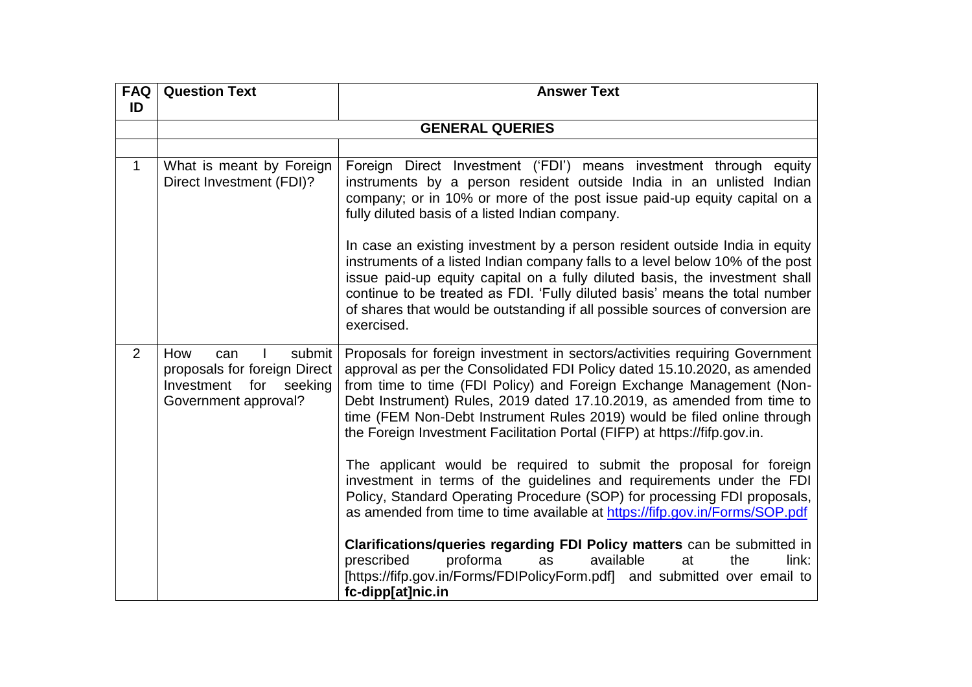| <b>FAQ</b>  | <b>Question Text</b>                                                                                         | <b>Answer Text</b>                                                                                                                                                                                                                                                                                                                                                                                                                                                                                                                                                                                                                                                                                                                                                                                                                                                                                                              |
|-------------|--------------------------------------------------------------------------------------------------------------|---------------------------------------------------------------------------------------------------------------------------------------------------------------------------------------------------------------------------------------------------------------------------------------------------------------------------------------------------------------------------------------------------------------------------------------------------------------------------------------------------------------------------------------------------------------------------------------------------------------------------------------------------------------------------------------------------------------------------------------------------------------------------------------------------------------------------------------------------------------------------------------------------------------------------------|
| ID          |                                                                                                              |                                                                                                                                                                                                                                                                                                                                                                                                                                                                                                                                                                                                                                                                                                                                                                                                                                                                                                                                 |
|             |                                                                                                              | <b>GENERAL QUERIES</b>                                                                                                                                                                                                                                                                                                                                                                                                                                                                                                                                                                                                                                                                                                                                                                                                                                                                                                          |
|             |                                                                                                              |                                                                                                                                                                                                                                                                                                                                                                                                                                                                                                                                                                                                                                                                                                                                                                                                                                                                                                                                 |
| $\mathbf 1$ | What is meant by Foreign<br>Direct Investment (FDI)?                                                         | Foreign Direct Investment ('FDI') means investment through equity<br>instruments by a person resident outside India in an unlisted Indian<br>company; or in 10% or more of the post issue paid-up equity capital on a<br>fully diluted basis of a listed Indian company.                                                                                                                                                                                                                                                                                                                                                                                                                                                                                                                                                                                                                                                        |
|             |                                                                                                              | In case an existing investment by a person resident outside India in equity<br>instruments of a listed Indian company falls to a level below 10% of the post<br>issue paid-up equity capital on a fully diluted basis, the investment shall<br>continue to be treated as FDI. 'Fully diluted basis' means the total number<br>of shares that would be outstanding if all possible sources of conversion are<br>exercised.                                                                                                                                                                                                                                                                                                                                                                                                                                                                                                       |
| 2           | submit<br>How<br>can<br>proposals for foreign Direct<br>for<br>Investment<br>seeking<br>Government approval? | Proposals for foreign investment in sectors/activities requiring Government<br>approval as per the Consolidated FDI Policy dated 15.10.2020, as amended<br>from time to time (FDI Policy) and Foreign Exchange Management (Non-<br>Debt Instrument) Rules, 2019 dated 17.10.2019, as amended from time to<br>time (FEM Non-Debt Instrument Rules 2019) would be filed online through<br>the Foreign Investment Facilitation Portal (FIFP) at https://fifp.gov.in.<br>The applicant would be required to submit the proposal for foreign<br>investment in terms of the guidelines and requirements under the FDI<br>Policy, Standard Operating Procedure (SOP) for processing FDI proposals,<br>as amended from time to time available at https://fifp.gov.in/Forms/SOP.pdf<br>Clarifications/queries regarding FDI Policy matters can be submitted in<br>prescribed<br>proforma<br>available<br>link:<br>at<br>the<br><b>as</b> |
|             |                                                                                                              | [https://fifp.gov.in/Forms/FDIPolicyForm.pdf] and submitted over email to<br>fc-dipp[at]nic.in                                                                                                                                                                                                                                                                                                                                                                                                                                                                                                                                                                                                                                                                                                                                                                                                                                  |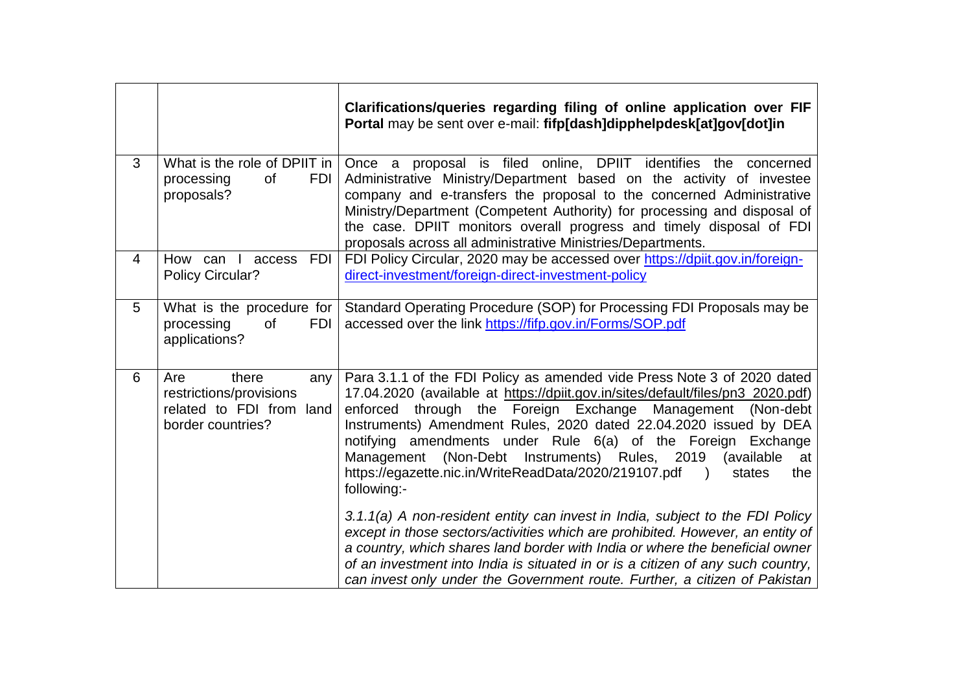|   |                                                                                                 | Clarifications/queries regarding filing of online application over FIF<br>Portal may be sent over e-mail: fifp[dash]dipphelpdesk[at]gov[dot]in                                                                                                                                                                                                                                                                                                                                                                                          |
|---|-------------------------------------------------------------------------------------------------|-----------------------------------------------------------------------------------------------------------------------------------------------------------------------------------------------------------------------------------------------------------------------------------------------------------------------------------------------------------------------------------------------------------------------------------------------------------------------------------------------------------------------------------------|
| 3 | What is the role of DPIIT in<br>processing<br>of<br><b>FDI</b><br>proposals?                    | proposal is filed online, DPIIT identifies the concerned<br>Once a<br>Administrative Ministry/Department based on the activity of investee<br>company and e-transfers the proposal to the concerned Administrative<br>Ministry/Department (Competent Authority) for processing and disposal of<br>the case. DPIIT monitors overall progress and timely disposal of FDI<br>proposals across all administrative Ministries/Departments.                                                                                                   |
| 4 | <b>FDI</b><br>How can<br>$\mathbf{I}$<br>access<br>Policy Circular?                             | FDI Policy Circular, 2020 may be accessed over https://dpiit.gov.in/foreign-<br>direct-investment/foreign-direct-investment-policy                                                                                                                                                                                                                                                                                                                                                                                                      |
| 5 | What is the procedure for<br>processing<br><b>of</b><br><b>FDI</b><br>applications?             | Standard Operating Procedure (SOP) for Processing FDI Proposals may be<br>accessed over the link https://fifp.gov.in/Forms/SOP.pdf                                                                                                                                                                                                                                                                                                                                                                                                      |
| 6 | there<br>Are<br>any<br>restrictions/provisions<br>related to FDI from land<br>border countries? | Para 3.1.1 of the FDI Policy as amended vide Press Note 3 of 2020 dated<br>17.04.2020 (available at https://dpiit.gov.in/sites/default/files/pn3_2020.pdf)<br>through the Foreign Exchange Management<br>enforced<br>(Non-debt)<br>Instruments) Amendment Rules, 2020 dated 22.04.2020 issued by DEA<br>notifying amendments under Rule 6(a) of the Foreign Exchange<br>Management (Non-Debt<br>Instruments) Rules, 2019<br>(available<br>at<br>https://egazette.nic.in/WriteReadData/2020/219107.pdf )<br>states<br>the<br>following:- |
|   |                                                                                                 | 3.1.1(a) A non-resident entity can invest in India, subject to the FDI Policy<br>except in those sectors/activities which are prohibited. However, an entity of<br>a country, which shares land border with India or where the beneficial owner<br>of an investment into India is situated in or is a citizen of any such country,<br>can invest only under the Government route. Further, a citizen of Pakistan                                                                                                                        |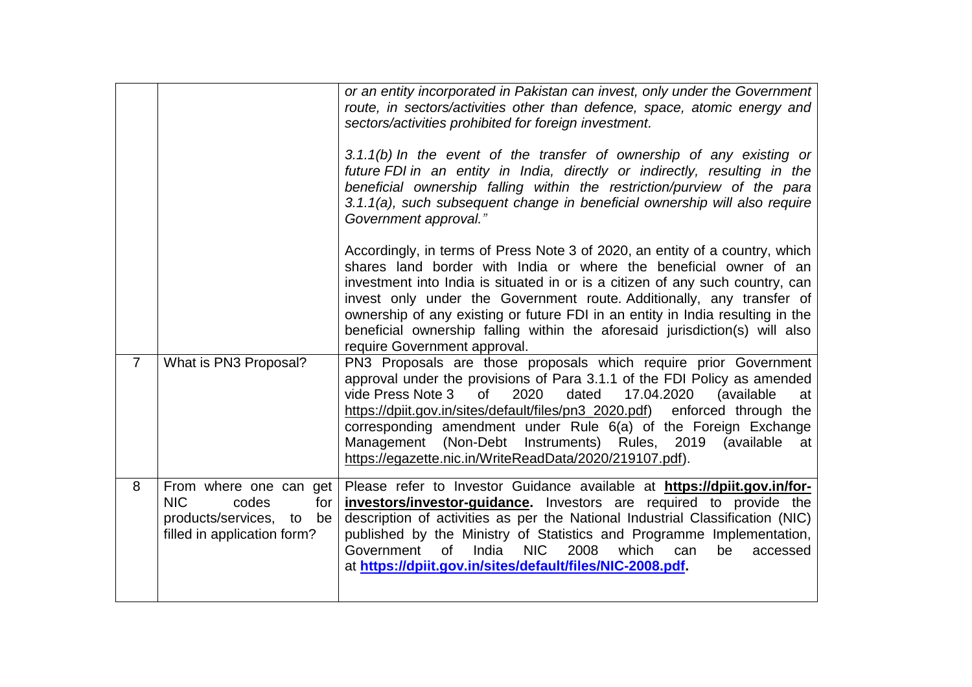|                |                                                                                                                    | or an entity incorporated in Pakistan can invest, only under the Government<br>route, in sectors/activities other than defence, space, atomic energy and<br>sectors/activities prohibited for foreign investment.<br>3.1.1(b) In the event of the transfer of ownership of any existing or<br>future FDI in an entity in India, directly or indirectly, resulting in the<br>beneficial ownership falling within the restriction/purview of the para<br>3.1.1(a), such subsequent change in beneficial ownership will also require<br>Government approval." |
|----------------|--------------------------------------------------------------------------------------------------------------------|------------------------------------------------------------------------------------------------------------------------------------------------------------------------------------------------------------------------------------------------------------------------------------------------------------------------------------------------------------------------------------------------------------------------------------------------------------------------------------------------------------------------------------------------------------|
|                |                                                                                                                    | Accordingly, in terms of Press Note 3 of 2020, an entity of a country, which<br>shares land border with India or where the beneficial owner of an<br>investment into India is situated in or is a citizen of any such country, can<br>invest only under the Government route. Additionally, any transfer of<br>ownership of any existing or future FDI in an entity in India resulting in the<br>beneficial ownership falling within the aforesaid jurisdiction(s) will also<br>require Government approval.                                               |
| $\overline{7}$ | What is PN3 Proposal?                                                                                              | PN3 Proposals are those proposals which require prior Government<br>approval under the provisions of Para 3.1.1 of the FDI Policy as amended<br>vide Press Note 3<br>2020<br>of<br>dated<br>17.04.2020<br>(available<br>at<br>https://dpiit.gov.in/sites/default/files/pn3_2020.pdf)<br>enforced through the<br>corresponding amendment under Rule 6(a) of the Foreign Exchange<br>Management (Non-Debt Instruments) Rules, 2019 (available<br>at<br>https://egazette.nic.in/WriteReadData/2020/219107.pdf).                                               |
| 8              | From where one can get<br><b>NIC</b><br>codes<br>for<br>products/services, to<br>be<br>filled in application form? | Please refer to Investor Guidance available at https://dpiit.gov.in/for-<br>investors/investor-guidance. Investors are required to provide the<br>description of activities as per the National Industrial Classification (NIC)<br>published by the Ministry of Statistics and Programme Implementation,<br>India<br><b>NIC</b><br>2008<br>which<br>Government<br><b>of</b><br>be<br>can<br>accessed<br>at https://dpiit.gov.in/sites/default/files/NIC-2008.pdf.                                                                                          |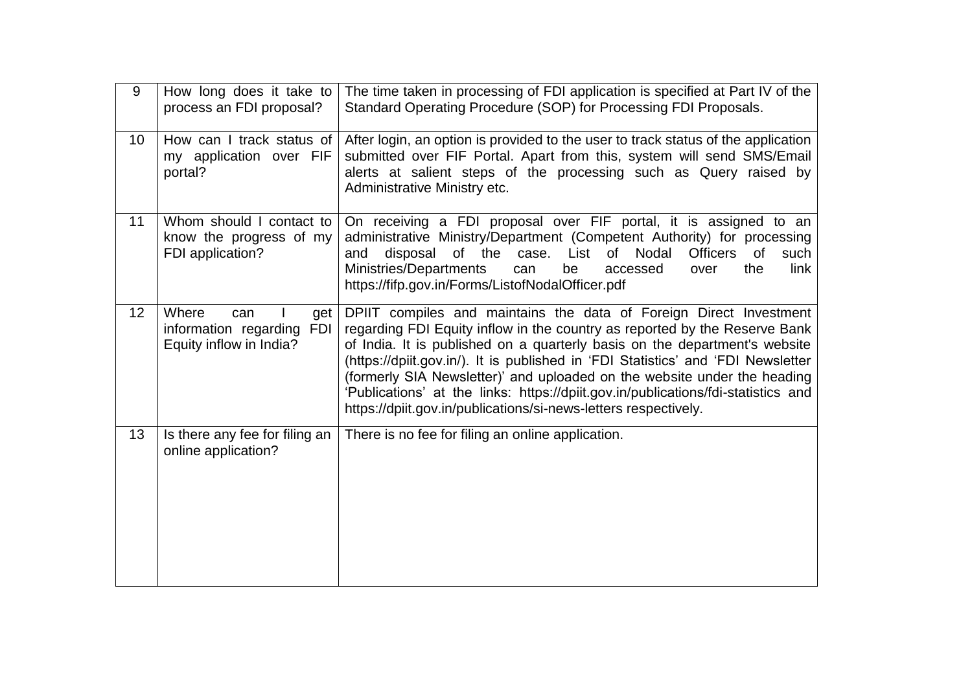| 9               | How long does it take to<br>process an FDI proposal?                           | The time taken in processing of FDI application is specified at Part IV of the<br>Standard Operating Procedure (SOP) for Processing FDI Proposals.                                                                                                                                                                                                                                                                                                                                                                                                     |
|-----------------|--------------------------------------------------------------------------------|--------------------------------------------------------------------------------------------------------------------------------------------------------------------------------------------------------------------------------------------------------------------------------------------------------------------------------------------------------------------------------------------------------------------------------------------------------------------------------------------------------------------------------------------------------|
| 10 <sup>1</sup> | How can I track status of<br>my application over FIF<br>portal?                | After login, an option is provided to the user to track status of the application<br>submitted over FIF Portal. Apart from this, system will send SMS/Email<br>alerts at salient steps of the processing such as Query raised by<br>Administrative Ministry etc.                                                                                                                                                                                                                                                                                       |
| 11              | Whom should I contact to<br>know the progress of my<br>FDI application?        | On receiving a FDI proposal over FIF portal, it is assigned to an<br>administrative Ministry/Department (Competent Authority) for processing<br>of the<br>Nodal<br>disposal<br>List<br>of l<br><b>Officers</b><br><b>of</b><br>case.<br>such<br>and<br>Ministries/Departments<br>be<br>the<br>link<br>can<br>accessed<br>over<br>https://fifp.gov.in/Forms/ListofNodalOfficer.pdf                                                                                                                                                                      |
| 12              | Where<br>can<br>get<br>information regarding<br>FDI<br>Equity inflow in India? | DPIIT compiles and maintains the data of Foreign Direct Investment<br>regarding FDI Equity inflow in the country as reported by the Reserve Bank<br>of India. It is published on a quarterly basis on the department's website<br>(https://dpiit.gov.in/). It is published in 'FDI Statistics' and 'FDI Newsletter<br>(formerly SIA Newsletter)' and uploaded on the website under the heading<br>'Publications' at the links: https://dpiit.gov.in/publications/fdi-statistics and<br>https://dpiit.gov.in/publications/si-news-letters respectively. |
| 13              | Is there any fee for filing an<br>online application?                          | There is no fee for filing an online application.                                                                                                                                                                                                                                                                                                                                                                                                                                                                                                      |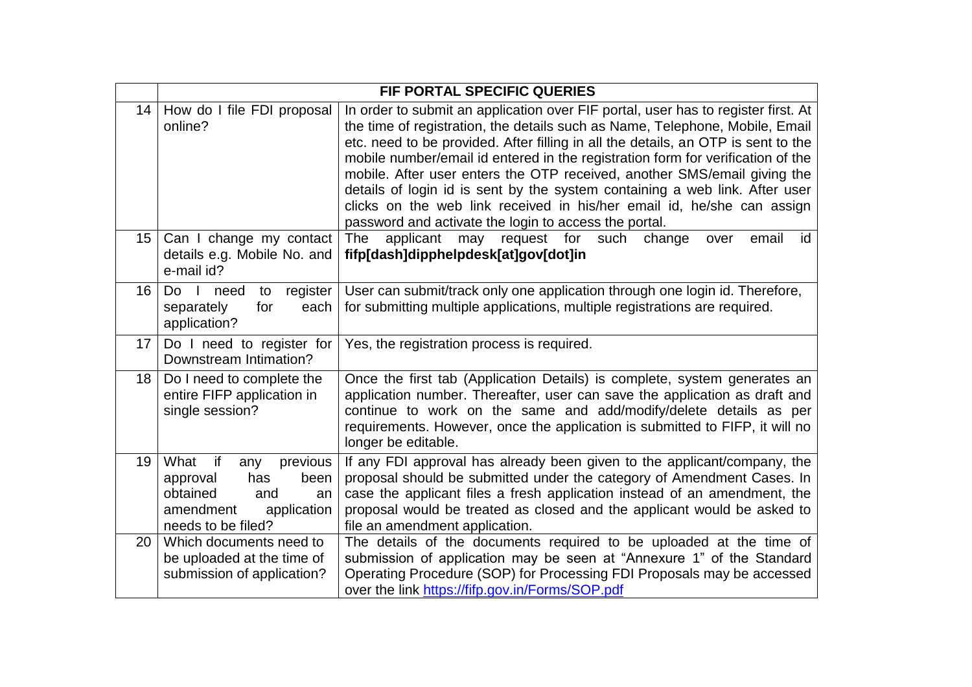|                 |                                                                                                                                     | <b>FIF PORTAL SPECIFIC QUERIES</b>                                                                                                                                                                                                                                                                                                                                                                                                                                                                                                                                                                                                      |
|-----------------|-------------------------------------------------------------------------------------------------------------------------------------|-----------------------------------------------------------------------------------------------------------------------------------------------------------------------------------------------------------------------------------------------------------------------------------------------------------------------------------------------------------------------------------------------------------------------------------------------------------------------------------------------------------------------------------------------------------------------------------------------------------------------------------------|
| 14              | How do I file FDI proposal<br>online?                                                                                               | In order to submit an application over FIF portal, user has to register first. At<br>the time of registration, the details such as Name, Telephone, Mobile, Email<br>etc. need to be provided. After filling in all the details, an OTP is sent to the<br>mobile number/email id entered in the registration form for verification of the<br>mobile. After user enters the OTP received, another SMS/email giving the<br>details of login id is sent by the system containing a web link. After user<br>clicks on the web link received in his/her email id, he/she can assign<br>password and activate the login to access the portal. |
| 15 <sub>1</sub> | Can I change my contact<br>details e.g. Mobile No. and<br>e-mail id?                                                                | may request for such change<br>email<br>The<br>applicant<br>id<br>over<br>fifp[dash]dipphelpdesk[at]gov[dot]in                                                                                                                                                                                                                                                                                                                                                                                                                                                                                                                          |
| 16              | $\Box$<br>Do<br>register<br>need<br>to<br>separately<br>for<br>each<br>application?                                                 | User can submit/track only one application through one login id. Therefore,<br>for submitting multiple applications, multiple registrations are required.                                                                                                                                                                                                                                                                                                                                                                                                                                                                               |
| 17              | Do I need to register for<br>Downstream Intimation?                                                                                 | Yes, the registration process is required.                                                                                                                                                                                                                                                                                                                                                                                                                                                                                                                                                                                              |
| 18              | Do I need to complete the<br>entire FIFP application in<br>single session?                                                          | Once the first tab (Application Details) is complete, system generates an<br>application number. Thereafter, user can save the application as draft and<br>continue to work on the same and add/modify/delete details as per<br>requirements. However, once the application is submitted to FIFP, it will no<br>longer be editable.                                                                                                                                                                                                                                                                                                     |
| 19              | What<br>if<br>previous<br>any<br>has<br>approval<br>been<br>obtained<br>and<br>an<br>amendment<br>application<br>needs to be filed? | If any FDI approval has already been given to the applicant/company, the<br>proposal should be submitted under the category of Amendment Cases. In<br>case the applicant files a fresh application instead of an amendment, the<br>proposal would be treated as closed and the applicant would be asked to<br>file an amendment application.                                                                                                                                                                                                                                                                                            |
| 20              | Which documents need to<br>be uploaded at the time of<br>submission of application?                                                 | The details of the documents required to be uploaded at the time of<br>submission of application may be seen at "Annexure 1" of the Standard<br>Operating Procedure (SOP) for Processing FDI Proposals may be accessed<br>over the link https://fifp.gov.in/Forms/SOP.pdf                                                                                                                                                                                                                                                                                                                                                               |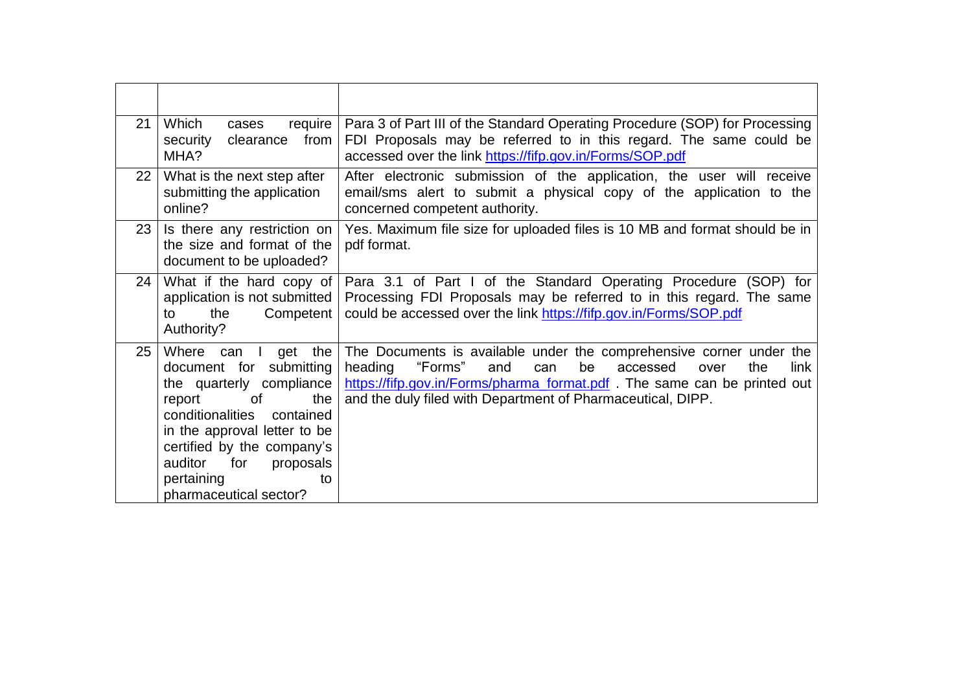| 21 | Which<br>require<br>cases<br>from<br>security<br>clearance<br>MHA?                                                                                                                                                                                                                       | Para 3 of Part III of the Standard Operating Procedure (SOP) for Processing<br>FDI Proposals may be referred to in this regard. The same could be<br>accessed over the link https://fifp.gov.in/Forms/SOP.pdf                                                                              |
|----|------------------------------------------------------------------------------------------------------------------------------------------------------------------------------------------------------------------------------------------------------------------------------------------|--------------------------------------------------------------------------------------------------------------------------------------------------------------------------------------------------------------------------------------------------------------------------------------------|
| 22 | What is the next step after<br>submitting the application<br>online?                                                                                                                                                                                                                     | After electronic submission of the application, the user will receive<br>email/sms alert to submit a physical copy of the application to the<br>concerned competent authority.                                                                                                             |
| 23 | Is there any restriction on<br>the size and format of the<br>document to be uploaded?                                                                                                                                                                                                    | Yes. Maximum file size for uploaded files is 10 MB and format should be in<br>pdf format.                                                                                                                                                                                                  |
| 24 | What if the hard copy of<br>application is not submitted<br>Competent  <br>the<br>to<br>Authority?                                                                                                                                                                                       | Para 3.1 of Part I of the Standard Operating Procedure (SOP) for<br>Processing FDI Proposals may be referred to in this regard. The same<br>could be accessed over the link https://fifp.gov.in/Forms/SOP.pdf                                                                              |
| 25 | get the<br>Where can<br>$\Box$<br>document for submitting<br>the quarterly compliance<br>the<br>report<br>0f<br>conditionalities<br>contained<br>in the approval letter to be<br>certified by the company's<br>for<br>auditor<br>proposals<br>pertaining<br>to<br>pharmaceutical sector? | The Documents is available under the comprehensive corner under the<br>heading<br>"Forms"<br>be<br>the<br>link<br>and<br>accessed<br>can<br>over<br>https://fifp.gov.in/Forms/pharma_format.pdf The same can be printed out<br>and the duly filed with Department of Pharmaceutical, DIPP. |